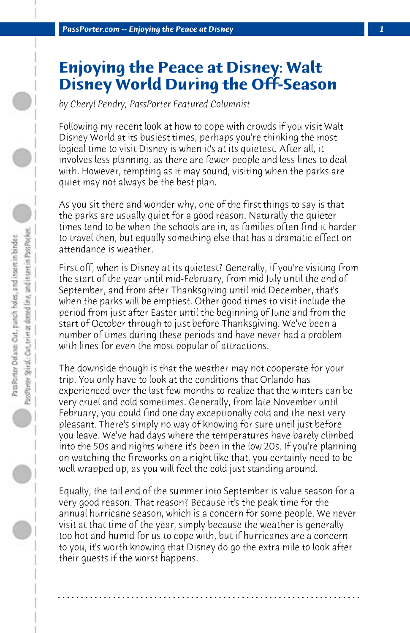## **Enjoying the Peace at Disney: Walt Disney World During the Off-Season**

*by Cheryl Pendry, PassPorter Featured Columnist*

Following my recent look at how to cope with crowds if you visit Walt Disney World at its busiest times, perhaps you're thinking the most logical time to visit Disney is when it's at its quietest. After all, it involves less planning, as there are fewer people and less lines to deal with. However, tempting as it may sound, visiting when the parks are quiet may not always be the best plan.

As you sit there and wonder why, one of the first things to say is that the parks are usually quiet for a good reason. Naturally the quieter times tend to be when the schools are in, as families often find it harder to travel then, but equally something else that has a dramatic effect on attendance is weather.

First off, when is Disney at its quietest? Generally, if you're visiting from the start of the year until mid-February, from mid July until the end of September, and from after Thanksgiving until mid December, that's when the parks will be emptiest. Other good times to visit include the period from just after Easter until the beginning of June and from the start of October through to just before Thanksgiving. We've been a number of times during these periods and have never had a problem with lines for even the most popular of attractions.

The downside though is that the weather may not cooperate for your trip. You only have to look at the conditions that Orlando has experienced over the last few months to realize that the winters can be very cruel and cold sometimes. Generally, from late November until February, you could find one day exceptionally cold and the next very pleasant. There's simply no way of knowing for sure until just before you leave. We've had days where the temperatures have barely climbed into the 50s and nights where it's been in the low 20s. If you're planning on watching the fireworks on a night like that, you certainly need to be well wrapped up, as you will feel the cold just standing around.

Equally, the tail end of the summer into September is value season for a very good reason. That reason? Because it's the peak time for the annual hurricane season, which is a concern for some people. We never visit at that time of the year, simply because the weather is generally too hot and humid for us to cope with, but if hurricanes are a concern to you, it's worth knowing that Disney do go the extra mile to look after their guests if the worst happens.

**. . . . . . . . . . . . . . . . . . . . . . . . . . . . . . . . . . . . . . . . . . . . . . . . . . . . . . . . . . . . . . . . . .**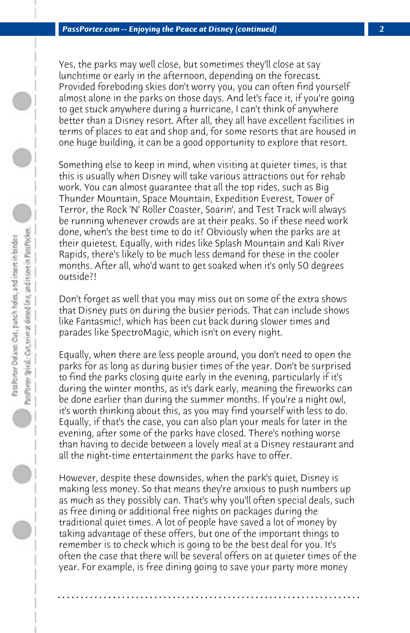Yes, the parks may well close, but sometimes they'll close at say lunchtime or early in the afternoon, depending on the forecast. Provided foreboding skies don't worry you, you can often find yourself almost alone in the parks on those days. And let's face it, if you're going to get stuck anywhere during a hurricane, I can't think of anywhere better than a Disney resort. After all, they all have excellent facilities in terms of places to eat and shop and, for some resorts that are housed in one huge building, it can be a good opportunity to explore that resort.

Something else to keep in mind, when visiting at quieter times, is that this is usually when Disney will take various attractions out for rehab work. You can almost guarantee that all the top rides, such as Big Thunder Mountain, Space Mountain, Expedition Everest, Tower of Terror, the Rock 'N' Roller Coaster, Soarin', and Test Track will always be running whenever crowds are at their peaks. So if these need work done, when's the best time to do it? Obviously when the parks are at their quietest. Equally, with rides like Splash Mountain and Kali River Rapids, there's likely to be much less demand for these in the cooler months. After all, who'd want to get soaked when it's only 50 degrees outside?!

Don't forget as well that you may miss out on some of the extra shows that Disney puts on during the busier periods. That can include shows like Fantasmic!, which has been cut back during slower times and parades like SpectroMagic, which isn't on every night.

Equally, when there are less people around, you don't need to open the parks for as long as during busier times of the year. Don't be surprised to find the parks closing quite early in the evening, particularly if it's during the winter months, as it's dark early, meaning the fireworks can be done earlier than during the summer months. If you're a night owl, it's worth thinking about this, as you may find yourself with less to do. Equally, if that's the case, you can also plan your meals for later in the evening, after some of the parks have closed. There's nothing worse than having to decide between a lovely meal at a Disney restaurant and all the night-time entertainment the parks have to offer.

However, despite these downsides, when the park's quiet, Disney is making less money. So that means they're anxious to push numbers up as much as they possibly can. That's why you'll often special deals, such as free dining or additional free nights on packages during the traditional quiet times. A lot of people have saved a lot of money by taking advantage of these offers, but one of the important things to remember is to check which is going to be the best deal for you. It's often the case that there will be several offers on at quieter times of the year. For example, is free dining going to save your party more money

**. . . . . . . . . . . . . . . . . . . . . . . . . . . . . . . . . . . . . . . . . . . . . . . . . . . . . . . . . . . . . . . . . .**